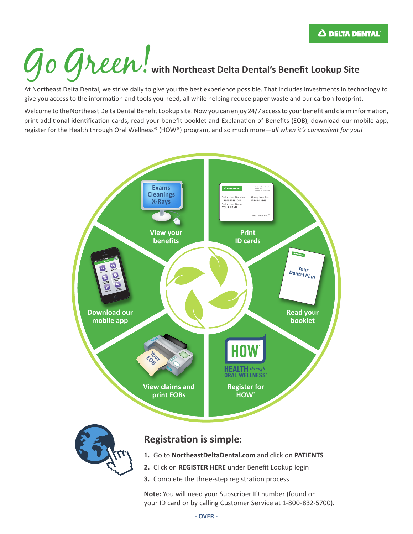# **Go Green**, with Northeast Delta Dental's Benefit Lookup Site

At Northeast Delta Dental, we strive daily to give you the best experience possible. That includes investments in technology to give you access to the information and tools you need, all while helping reduce paper waste and our carbon footprint.

Welcome to the Northeast Delta Dental Benefit Lookup site! Now you can enjoy 24/7 access to your benefit and claim information, print additional identification cards, read your benefit booklet and Explanation of Benefits (EOB), download our mobile app, register for the Health through Oral Wellness® (HOW®) program, and so much more—*all when it's convenient for you!*



**Note:** You will need your Subscriber ID number (found on your ID card or by calling Customer Service at 1-800-832-5700).